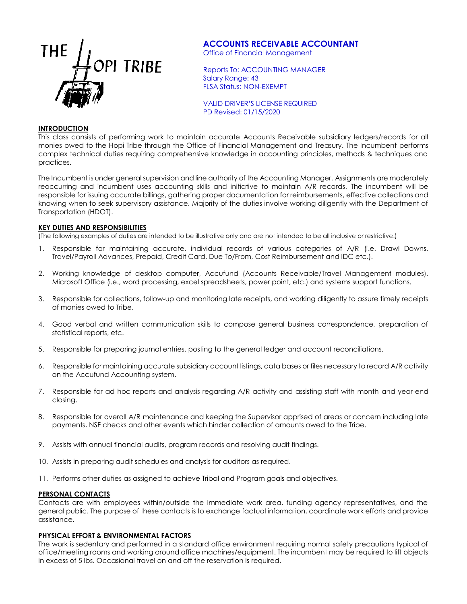

# **ACCOUNTS RECEIVABLE ACCOUNTANT**

Office of Financial Management

Reports To: ACCOUNTING MANAGER Salary Range: 43 FLSA Status: NON-EXEMPT

VALID DRIVER'S LICENSE REQUIRED PD Revised: 01/15/2020

## **INTRODUCTION**

This class consists of performing work to maintain accurate Accounts Receivable subsidiary ledgers/records for all monies owed to the Hopi Tribe through the Office of Financial Management and Treasury. The Incumbent performs complex technical duties requiring comprehensive knowledge in accounting principles, methods & techniques and practices.

The Incumbent is under general supervision and line authority of the Accounting Manager. Assignments are moderately reoccurring and incumbent uses accounting skills and initiative to maintain A/R records. The incumbent will be responsible for issuing accurate billings, gathering proper documentation for reimbursements, effective collections and knowing when to seek supervisory assistance. Majority of the duties involve working diligently with the Department of Transportation (HDOT).

### **KEY DUTIES AND RESPONSIBILITIES**

(The following examples of duties are intended to be illustrative only and are not intended to be all inclusive or restrictive.)

- 1. Responsible for maintaining accurate, individual records of various categories of A/R (i.e. Drawl Downs, Travel/Payroll Advances, Prepaid, Credit Card, Due To/From, Cost Reimbursement and IDC etc.).
- 2. Working knowledge of desktop computer, Accufund (Accounts Receivable/Travel Management modules), Microsoft Office (i.e., word processing, excel spreadsheets, power point, etc.) and systems support functions.
- 3. Responsible for collections, follow-up and monitoring late receipts, and working diligently to assure timely receipts of monies owed to Tribe.
- 4. Good verbal and written communication skills to compose general business correspondence, preparation of statistical reports, etc.
- 5. Responsible for preparing journal entries, posting to the general ledger and account reconciliations.
- 6. Responsible for maintaining accurate subsidiary account listings, data bases or files necessary to record A/R activity on the Accufund Accounting system.
- 7. Responsible for ad hoc reports and analysis regarding A/R activity and assisting staff with month and year-end closing.
- 8. Responsible for overall A/R maintenance and keeping the Supervisor apprised of areas or concern including late payments, NSF checks and other events which hinder collection of amounts owed to the Tribe.
- 9. Assists with annual financial audits, program records and resolving audit findings.
- 10. Assists in preparing audit schedules and analysis for auditors as required.
- 11. Performs other duties as assigned to achieve Tribal and Program goals and objectives.

#### **PERSONAL CONTACTS**

Contacts are with employees within/outside the immediate work area, funding agency representatives, and the general public. The purpose of these contacts is to exchange factual information, coordinate work efforts and provide assistance.

#### **PHYSICAL EFFORT & ENVIRONMENTAL FACTORS**

The work is sedentary and performed in a standard office environment requiring normal safety precautions typical of office/meeting rooms and working around office machines/equipment. The incumbent may be required to lift objects in excess of 5 lbs. Occasional travel on and off the reservation is required.